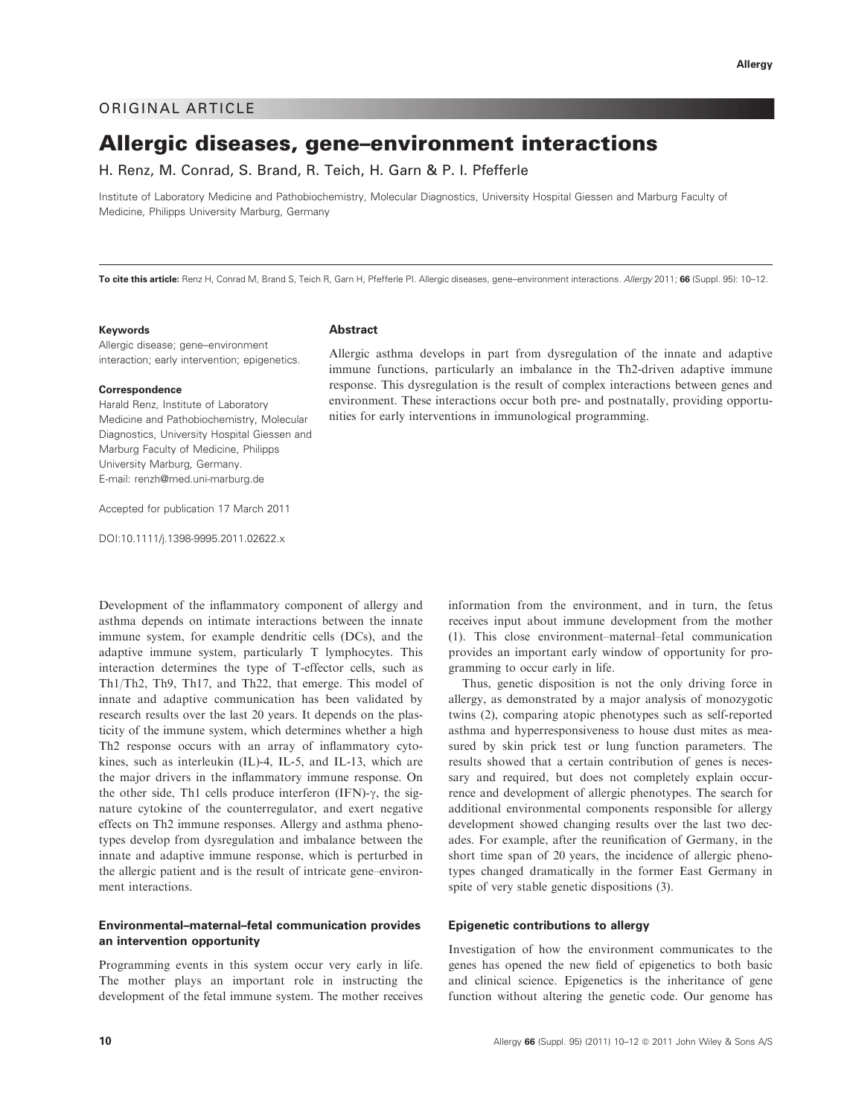## ORIGINAL ARTICLE

# Allergic diseases, gene–environment interactions

H. Renz, M. Conrad, S. Brand, R. Teich, H. Garn & P. I. Pfefferle

Institute of Laboratory Medicine and Pathobiochemistry, Molecular Diagnostics, University Hospital Giessen and Marburg Faculty of Medicine, Philipps University Marburg, Germany

To cite this article: Renz H, Conrad M, Brand S, Teich R, Garn H, Pfefferle PI. Allergic diseases, gene-environment interactions. Allergy 2011; 66 (Suppl. 95): 10-12.

#### Keywords

Allergic disease; gene–environment interaction; early intervention; epigenetics.

#### Correspondence

Harald Renz, Institute of Laboratory Medicine and Pathobiochemistry, Molecular Diagnostics, University Hospital Giessen and Marburg Faculty of Medicine, Philipps University Marburg, Germany. E-mail: renzh@med.uni-marburg.de

Accepted for publication 17 March 2011

DOI:10.1111/j.1398-9995.2011.02622.x

Development of the inflammatory component of allergy and asthma depends on intimate interactions between the innate immune system, for example dendritic cells (DCs), and the adaptive immune system, particularly T lymphocytes. This interaction determines the type of T-effector cells, such as Th1/Th2, Th9, Th17, and Th22, that emerge. This model of innate and adaptive communication has been validated by research results over the last 20 years. It depends on the plasticity of the immune system, which determines whether a high Th2 response occurs with an array of inflammatory cytokines, such as interleukin (IL)-4, IL-5, and IL-13, which are the major drivers in the inflammatory immune response. On the other side, Th1 cells produce interferon  $(IFN)$ - $\gamma$ , the signature cytokine of the counterregulator, and exert negative effects on Th2 immune responses. Allergy and asthma phenotypes develop from dysregulation and imbalance between the innate and adaptive immune response, which is perturbed in the allergic patient and is the result of intricate gene–environment interactions.

## Environmental–maternal–fetal communication provides an intervention opportunity

Programming events in this system occur very early in life. The mother plays an important role in instructing the development of the fetal immune system. The mother receives

**Abstract** 

Allergic asthma develops in part from dysregulation of the innate and adaptive immune functions, particularly an imbalance in the Th2-driven adaptive immune response. This dysregulation is the result of complex interactions between genes and environment. These interactions occur both pre- and postnatally, providing opportunities for early interventions in immunological programming.

> information from the environment, and in turn, the fetus receives input about immune development from the mother (1). This close environment–maternal–fetal communication provides an important early window of opportunity for programming to occur early in life.

> Thus, genetic disposition is not the only driving force in allergy, as demonstrated by a major analysis of monozygotic twins (2), comparing atopic phenotypes such as self-reported asthma and hyperresponsiveness to house dust mites as measured by skin prick test or lung function parameters. The results showed that a certain contribution of genes is necessary and required, but does not completely explain occurrence and development of allergic phenotypes. The search for additional environmental components responsible for allergy development showed changing results over the last two decades. For example, after the reunification of Germany, in the short time span of 20 years, the incidence of allergic phenotypes changed dramatically in the former East Germany in spite of very stable genetic dispositions (3).

#### Epigenetic contributions to allergy

Investigation of how the environment communicates to the genes has opened the new field of epigenetics to both basic and clinical science. Epigenetics is the inheritance of gene function without altering the genetic code. Our genome has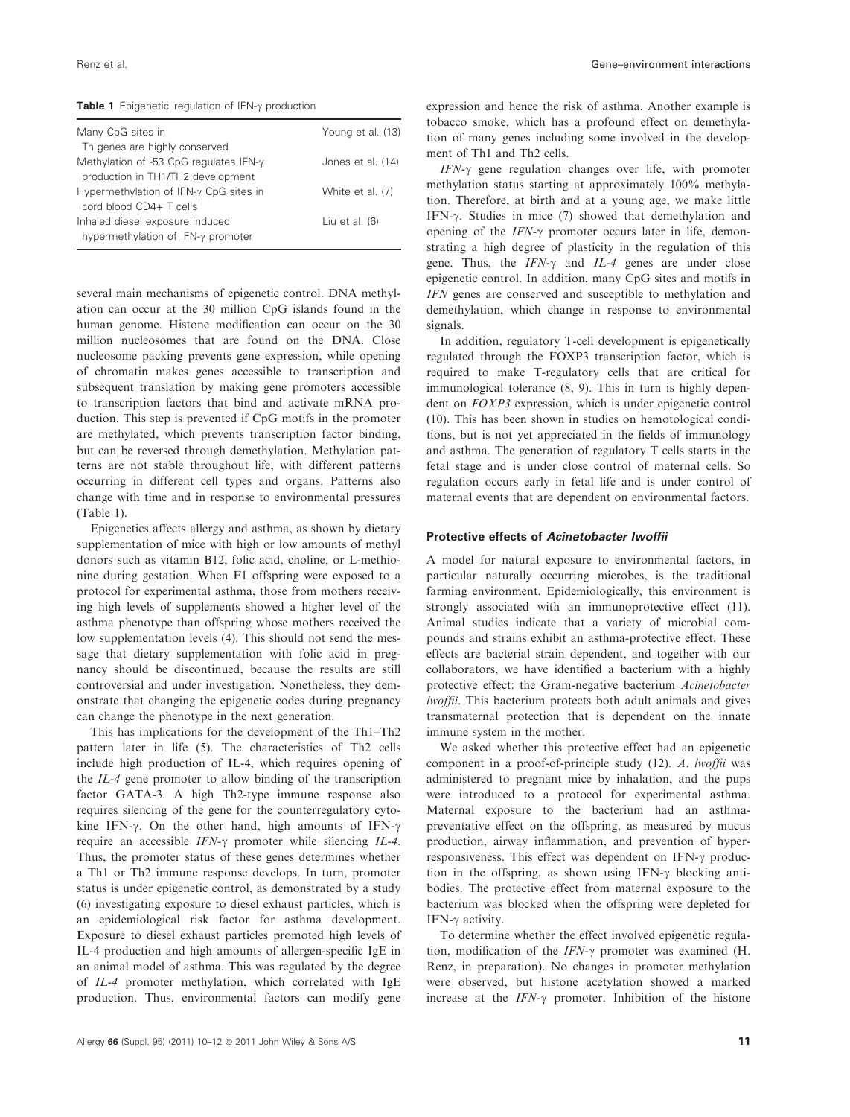**Table 1** Epigenetic regulation of IFN- $\gamma$  production

| Many CpG sites in                              | Young et al. (13) |
|------------------------------------------------|-------------------|
| Th genes are highly conserved                  |                   |
| Methylation of -53 CpG regulates IFN- $\gamma$ | Jones et al. (14) |
| production in TH1/TH2 development              |                   |
| Hypermethylation of IFN-γ CpG sites in         | White et al. (7)  |
| cord blood CD4+ T cells                        |                   |
| Inhaled diesel exposure induced                | Liu et al. $(6)$  |
| hypermethylation of IFN-γ promoter             |                   |
|                                                |                   |

several main mechanisms of epigenetic control. DNA methylation can occur at the 30 million CpG islands found in the human genome. Histone modification can occur on the 30 million nucleosomes that are found on the DNA. Close nucleosome packing prevents gene expression, while opening of chromatin makes genes accessible to transcription and subsequent translation by making gene promoters accessible to transcription factors that bind and activate mRNA production. This step is prevented if CpG motifs in the promoter are methylated, which prevents transcription factor binding, but can be reversed through demethylation. Methylation patterns are not stable throughout life, with different patterns occurring in different cell types and organs. Patterns also change with time and in response to environmental pressures (Table 1).

Epigenetics affects allergy and asthma, as shown by dietary supplementation of mice with high or low amounts of methyl donors such as vitamin B12, folic acid, choline, or L-methionine during gestation. When F1 offspring were exposed to a protocol for experimental asthma, those from mothers receiving high levels of supplements showed a higher level of the asthma phenotype than offspring whose mothers received the low supplementation levels (4). This should not send the message that dietary supplementation with folic acid in pregnancy should be discontinued, because the results are still controversial and under investigation. Nonetheless, they demonstrate that changing the epigenetic codes during pregnancy can change the phenotype in the next generation.

This has implications for the development of the Th1–Th2 pattern later in life (5). The characteristics of Th2 cells include high production of IL-4, which requires opening of the IL-4 gene promoter to allow binding of the transcription factor GATA-3. A high Th2-type immune response also requires silencing of the gene for the counterregulatory cytokine IFN- $\gamma$ . On the other hand, high amounts of IFN- $\gamma$ require an accessible  $IFN-\gamma$  promoter while silencing  $IL-4$ . Thus, the promoter status of these genes determines whether a Th1 or Th2 immune response develops. In turn, promoter status is under epigenetic control, as demonstrated by a study (6) investigating exposure to diesel exhaust particles, which is an epidemiological risk factor for asthma development. Exposure to diesel exhaust particles promoted high levels of IL-4 production and high amounts of allergen-specific IgE in an animal model of asthma. This was regulated by the degree of IL-4 promoter methylation, which correlated with IgE production. Thus, environmental factors can modify gene expression and hence the risk of asthma. Another example is tobacco smoke, which has a profound effect on demethylation of many genes including some involved in the development of Th1 and Th2 cells.

 $IFN-\gamma$  gene regulation changes over life, with promoter methylation status starting at approximately 100% methylation. Therefore, at birth and at a young age, we make little IFN-γ. Studies in mice (7) showed that demethylation and opening of the  $IFN-\gamma$  promoter occurs later in life, demonstrating a high degree of plasticity in the regulation of this gene. Thus, the  $IFN-\gamma$  and  $IL-4$  genes are under close epigenetic control. In addition, many CpG sites and motifs in IFN genes are conserved and susceptible to methylation and demethylation, which change in response to environmental signals.

In addition, regulatory T-cell development is epigenetically regulated through the FOXP3 transcription factor, which is required to make T-regulatory cells that are critical for immunological tolerance (8, 9). This in turn is highly dependent on FOXP3 expression, which is under epigenetic control (10). This has been shown in studies on hemotological conditions, but is not yet appreciated in the fields of immunology and asthma. The generation of regulatory T cells starts in the fetal stage and is under close control of maternal cells. So regulation occurs early in fetal life and is under control of maternal events that are dependent on environmental factors.

#### Protective effects of Acinetobacter lwoffii

A model for natural exposure to environmental factors, in particular naturally occurring microbes, is the traditional farming environment. Epidemiologically, this environment is strongly associated with an immunoprotective effect (11). Animal studies indicate that a variety of microbial compounds and strains exhibit an asthma-protective effect. These effects are bacterial strain dependent, and together with our collaborators, we have identified a bacterium with a highly protective effect: the Gram-negative bacterium Acinetobacter lwoffii. This bacterium protects both adult animals and gives transmaternal protection that is dependent on the innate immune system in the mother.

We asked whether this protective effect had an epigenetic component in a proof-of-principle study (12). A. lwoffii was administered to pregnant mice by inhalation, and the pups were introduced to a protocol for experimental asthma. Maternal exposure to the bacterium had an asthmapreventative effect on the offspring, as measured by mucus production, airway inflammation, and prevention of hyperresponsiveness. This effect was dependent on IFN- $\gamma$  production in the offspring, as shown using IFN- $\gamma$  blocking antibodies. The protective effect from maternal exposure to the bacterium was blocked when the offspring were depleted for IFN- $\gamma$  activity.

To determine whether the effect involved epigenetic regulation, modification of the  $IFN-\gamma$  promoter was examined (H. Renz, in preparation). No changes in promoter methylation were observed, but histone acetylation showed a marked increase at the  $IFN-\gamma$  promoter. Inhibition of the histone